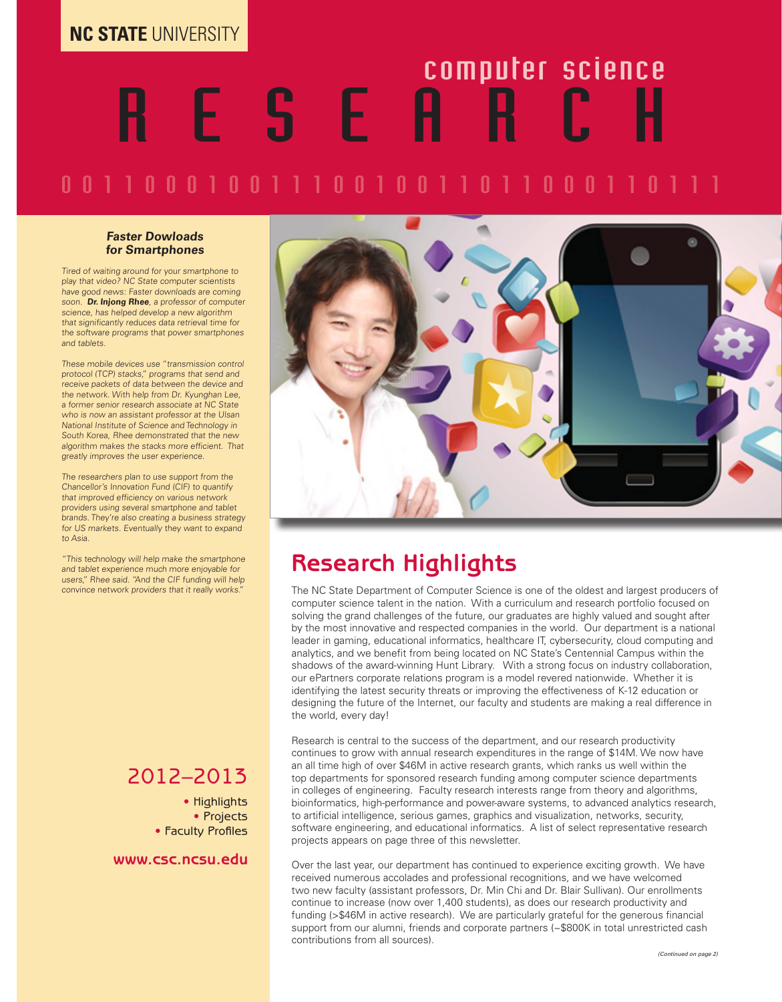#### **NC STATE** UNIVERSITY

# R E S E A R C H computer science

### 0 0 1 1 0 0 0 1 0 0 1 1 0 0 1 0 0 1 1 0 1 1 0 0 0 1 1 0 1 1 1

#### **Faster Dowloads for Smartphones**

Tired of waiting around for your smartphone to play that video? NC State computer scientists have good news: Faster downloads are coming soon. **Dr. Injong Rhee**, a professor of computer science, has helped develop a new algorithm that significantly reduces data retrieval time for the software programs that power smartphones and tablets.

These mobile devices use "transmission control protocol (TCP) stacks," programs that send and receive packets of data between the device and the network. With help from Dr. Kyunghan Lee, a former senior research associate at NC State who is now an assistant professor at the Ulsan National Institute of Science and Technology in South Korea, Rhee demonstrated that the new algorithm makes the stacks more efficient. That greatly improves the user experience.

The researchers plan to use support from the Chancellor's Innovation Fund (CIF) to quantify that improved efficiency on various network providers using several smartphone and tablet brands. They're also creating a business strategy for US markets. Eventually they want to expand to Asia.

"This technology will help make the smartphone and tablet experience much more enjoyable for users," Rhee said. "And the CIF funding will help convince network providers that it really works."

#### 2012–2013

• Highlights • Projects • Faculty Profiles

**www.csc.ncsu.edu**



### **Research Highlights**

The NC State Department of Computer Science is one of the oldest and largest producers of computer science talent in the nation. With a curriculum and research portfolio focused on solving the grand challenges of the future, our graduates are highly valued and sought after by the most innovative and respected companies in the world. Our department is a national leader in gaming, educational informatics, healthcare IT, cybersecurity, cloud computing and analytics, and we benefit from being located on NC State's Centennial Campus within the shadows of the award-winning Hunt Library. With a strong focus on industry collaboration, our ePartners corporate relations program is a model revered nationwide. Whether it is identifying the latest security threats or improving the effectiveness of K-12 education or designing the future of the Internet, our faculty and students are making a real difference in the world, every day!

Research is central to the success of the department, and our research productivity continues to grow with annual research expenditures in the range of \$14M. We now have an all time high of over \$46M in active research grants, which ranks us well within the top departments for sponsored research funding among computer science departments in colleges of engineering. Faculty research interests range from theory and algorithms, bioinformatics, high-performance and power-aware systems, to advanced analytics research, to artificial intelligence, serious games, graphics and visualization, networks, security, software engineering, and educational informatics. A list of select representative research projects appears on page three of this newsletter.

Over the last year, our department has continued to experience exciting growth. We have received numerous accolades and professional recognitions, and we have welcomed two new faculty (assistant professors, Dr. Min Chi and Dr. Blair Sullivan). Our enrollments continue to increase (now over 1,400 students), as does our research productivity and funding (>\$46M in active research). We are particularly grateful for the generous financial support from our alumni, friends and corporate partners (~\$800K in total unrestricted cash contributions from all sources).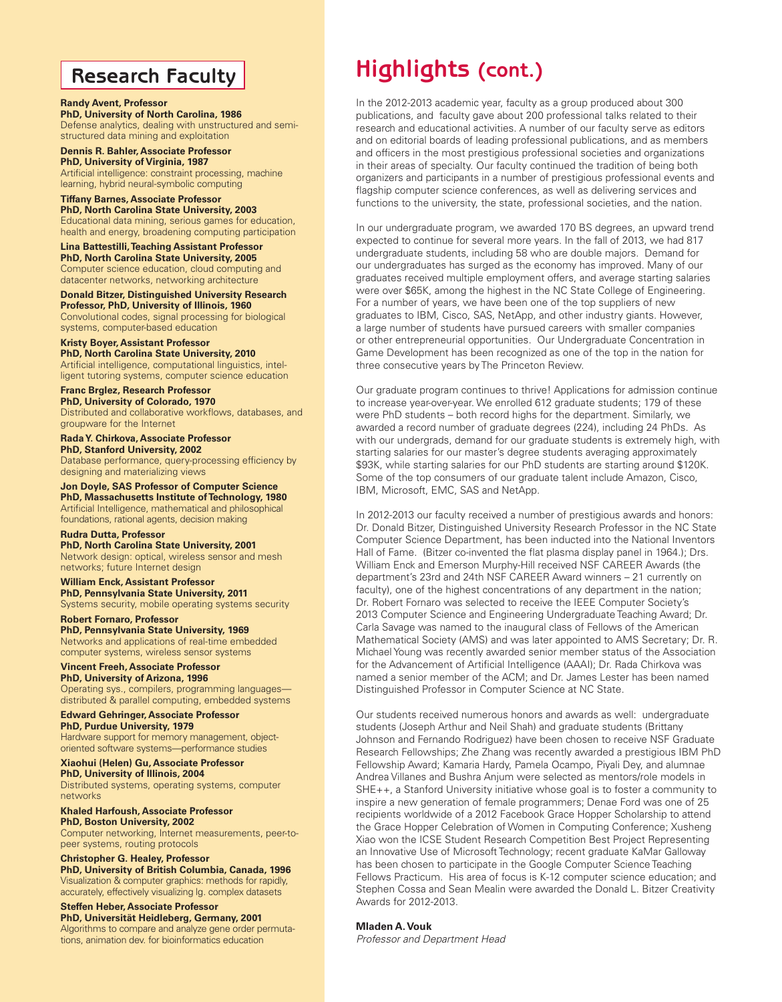#### **Research Faculty**

#### **Randy Avent, Professor PhD, University of North Carolina, 1986**

Defense analytics, dealing with unstructured and semistructured data mining and exploitation

**Dennis R. Bahler, Associate Professor PhD, University of Virginia, 1987** Artificial intelligence: constraint processing, machine learning, hybrid neural-symbolic computing

**Tiffany Barnes, Associate Professor PhD, North Carolina State University, 2003** Educational data mining, serious games for education, health and energy, broadening computing participation

**Lina Battestilli, Teaching Assistant Professor PhD, North Carolina State University, 2005** Computer science education, cloud computing and datacenter networks, networking architecture

**Donald Bitzer, Distinguished University Research Professor, PhD, University of Illinois, 1960** Convolutional codes, signal processing for biological

systems, computer-based education

**Kristy Boyer, Assistant Professor PhD, North Carolina State University, 2010** Artificial intelligence, computational linguistics, intelligent tutoring systems, computer science education

**Franc Brglez, Research Professor PhD, University of Colorado, 1970**

Distributed and collaborative workflows, databases, and groupware for the Internet

**Rada Y. Chirkova, Associate Professor PhD, Stanford University, 2002** Database performance, query-processing efficiency by designing and materializing views

**Jon Doyle, SAS Professor of Computer Science PhD, Massachusetts Institute of Technology, 1980** Artificial Intelligence, mathematical and philosophical foundations, rational agents, decision making

**Rudra Dutta, Professor PhD, North Carolina State University, 2001** Network design: optical, wireless sensor and mesh networks; future Internet design

**William Enck, Assistant Professor PhD, Pennsylvania State University, 2011** Systems security, mobile operating systems security

**Robert Fornaro, Professor PhD, Pennsylvania State University, 1969**  Networks and applications of real-time embedded computer systems, wireless sensor systems

**Vincent Freeh, Associate Professor PhD, University of Arizona, 1996** Operating sys., compilers, programming languages distributed & parallel computing, embedded systems

**Edward Gehringer, Associate Professor PhD, Purdue University, 1979** Hardware support for memory management, objectoriented software systems—performance studies

**Xiaohui (Helen) Gu, Associate Professor PhD, University of Illinois, 2004**

Distributed systems, operating systems, computer networks

**Khaled Harfoush, Associate Professor PhD, Boston University, 2002** Computer networking, Internet measurements, peer-topeer systems, routing protocols

**Christopher G. Healey, Professor PhD, University of British Columbia, Canada, 1996** Visualization & computer graphics: methods for rapidly, accurately, effectively visualizing lg. complex datasets

**Steffen Heber, Associate Professor PhD, Universität Heidleberg, Germany, 2001** Algorithms to compare and analyze gene order permutations, animation dev. for bioinformatics education

## **Highlights (cont.)**

In the 2012-2013 academic year, faculty as a group produced about 300 publications, and faculty gave about 200 professional talks related to their research and educational activities. A number of our faculty serve as editors and on editorial boards of leading professional publications, and as members and officers in the most prestigious professional societies and organizations in their areas of specialty. Our faculty continued the tradition of being both organizers and participants in a number of prestigious professional events and flagship computer science conferences, as well as delivering services and functions to the university, the state, professional societies, and the nation.

In our undergraduate program, we awarded 170 BS degrees, an upward trend expected to continue for several more years. In the fall of 2013, we had 817 undergraduate students, including 58 who are double majors. Demand for our undergraduates has surged as the economy has improved. Many of our graduates received multiple employment offers, and average starting salaries were over \$65K, among the highest in the NC State College of Engineering. For a number of years, we have been one of the top suppliers of new graduates to IBM, Cisco, SAS, NetApp, and other industry giants. However, a large number of students have pursued careers with smaller companies or other entrepreneurial opportunities. Our Undergraduate Concentration in Game Development has been recognized as one of the top in the nation for three consecutive years by The Princeton Review.

Our graduate program continues to thrive! Applications for admission continue to increase year-over-year. We enrolled 612 graduate students; 179 of these were PhD students – both record highs for the department. Similarly, we awarded a record number of graduate degrees (224), including 24 PhDs. As with our undergrads, demand for our graduate students is extremely high, with starting salaries for our master's degree students averaging approximately \$93K, while starting salaries for our PhD students are starting around \$120K. Some of the top consumers of our graduate talent include Amazon, Cisco, IBM, Microsoft, EMC, SAS and NetApp.

In 2012-2013 our faculty received a number of prestigious awards and honors: Dr. Donald Bitzer, Distinguished University Research Professor in the NC State Computer Science Department, has been inducted into the National Inventors Hall of Fame. (Bitzer co-invented the flat plasma display panel in 1964.); Drs. William Enck and Emerson Murphy-Hill received NSF CAREER Awards (the department's 23rd and 24th NSF CAREER Award winners – 21 currently on faculty), one of the highest concentrations of any department in the nation; Dr. Robert Fornaro was selected to receive the IEEE Computer Society's 2013 Computer Science and Engineering Undergraduate Teaching Award; Dr. Carla Savage was named to the inaugural class of Fellows of the American Mathematical Society (AMS) and was later appointed to AMS Secretary; Dr. R. Michael Young was recently awarded senior member status of the Association for the Advancement of Artificial Intelligence (AAAI); Dr. Rada Chirkova was named a senior member of the ACM; and Dr. James Lester has been named Distinguished Professor in Computer Science at NC State.

Our students received numerous honors and awards as well: undergraduate students (Joseph Arthur and Neil Shah) and graduate students (Brittany Johnson and Fernando Rodriguez) have been chosen to receive NSF Graduate Research Fellowships; Zhe Zhang was recently awarded a prestigious IBM PhD Fellowship Award; Kamaria Hardy, Pamela Ocampo, Piyali Dey, and alumnae Andrea Villanes and Bushra Anjum were selected as mentors/role models in SHE++, a Stanford University initiative whose goal is to foster a community to inspire a new generation of female programmers; Denae Ford was one of 25 recipients worldwide of a 2012 Facebook Grace Hopper Scholarship to attend the Grace Hopper Celebration of Women in Computing Conference; Xusheng Xiao won the ICSE Student Research Competition Best Project Representing an Innovative Use of Microsoft Technology; recent graduate KaMar Galloway has been chosen to participate in the Google Computer Science Teaching Fellows Practicum. His area of focus is K-12 computer science education; and Stephen Cossa and Sean Mealin were awarded the Donald L. Bitzer Creativity Awards for 2012-2013.

**Mladen A. Vouk**

*Professor and Department Head*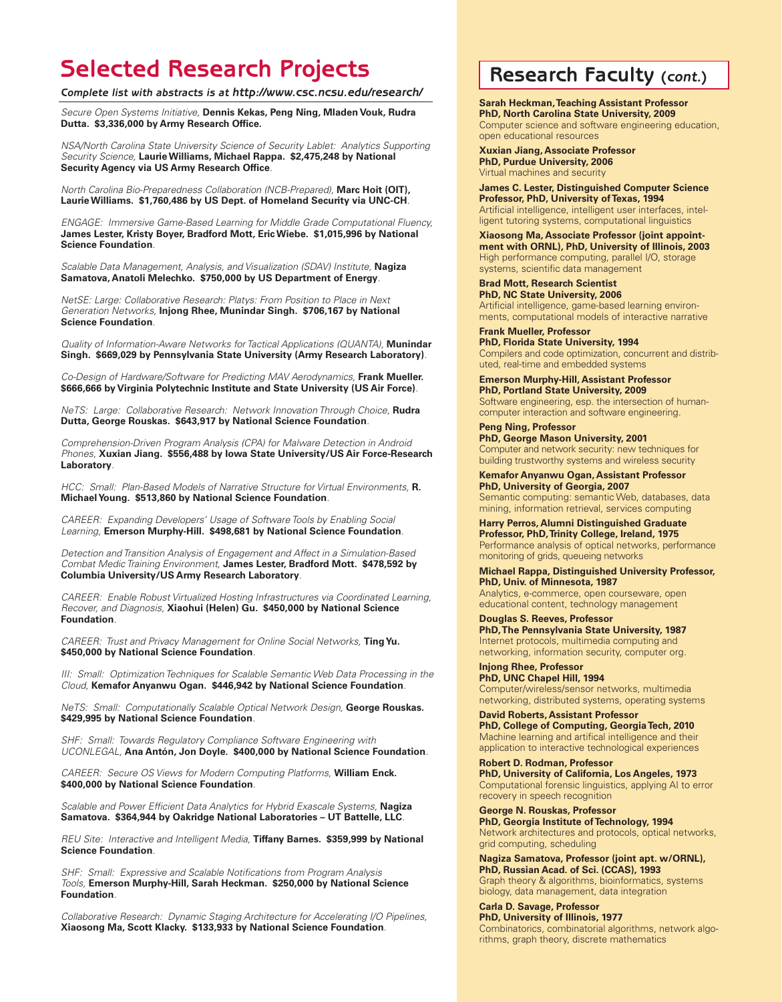### **Selected Research Projects Research Faculty (***cont.***)**

*Complete list with abstracts is at http://www.csc.ncsu.edu/research/*

*Secure Open Systems Initiative,* **Dennis Kekas, Peng Ning, Mladen Vouk, Rudra Dutta. \$3,336,000 by Army Research Office.**

*NSA/North Carolina State University Science of Security Lablet: Analytics Supporting Security Science,* **Laurie Williams, Michael Rappa. \$2,475,248 by National Security Agency via US Army Research Office***.*

*North Carolina Bio-Preparedness Collaboration (NCB-Prepared),* **Marc Hoit (OIT), Laurie Williams. \$1,760,486 by US Dept. of Homeland Security via UNC-CH***.*

*ENGAGE: Immersive Game-Based Learning for Middle Grade Computational Fluency,*  **James Lester, Kristy Boyer, Bradford Mott, Eric Wiebe. \$1,015,996 by National Science Foundation***.*

*Scalable Data Management, Analysis, and Visualization (SDAV) Institute,* **Nagiza Samatova, Anatoli Melechko. \$750,000 by US Department of Energy***.*

*NetSE: Large: Collaborative Research: Platys: From Position to Place in Next Generation Networks,* **Injong Rhee, Munindar Singh. \$706,167 by National Science Foundation***.*

*Quality of Information-Aware Networks for Tactical Applications (QUANTA),* **Munindar Singh. \$669,029 by Pennsylvania State University (Army Research Laboratory)***.*

*Co-Design of Hardware/Software for Predicting MAV Aerodynamics,* **Frank Mueller. \$666,666 by Virginia Polytechnic Institute and State University (US Air Force)***.*

*NeTS: Large: Collaborative Research: Network Innovation Through Choice, Rudra* **Dutta, George Rouskas. \$643,917 by National Science Foundation***.*

*Comprehension-Driven Program Analysis (CPA) for Malware Detection in Android Phones,* **Xuxian Jiang. \$556,488 by Iowa State University/US Air Force-Research Laboratory***.*

*HCC: Small: Plan-Based Models of Narrative Structure for Virtual Environments,* **R. Michael Young. \$513,860 by National Science Foundation***.*

*CAREER: Expanding Developers' Usage of Software Tools by Enabling Social Learning,* **Emerson Murphy-Hill. \$498,681 by National Science Foundation***.*

*Detection and Transition Analysis of Engagement and Affect in a Simulation-Based Combat Medic Training Environment,* **James Lester, Bradford Mott. \$478,592 by Columbia University/US Army Research Laboratory***.*

*CAREER: Enable Robust Virtualized Hosting Infrastructures via Coordinated Learning, Recover, and Diagnosis,* **Xiaohui (Helen) Gu. \$450,000 by National Science Foundation***.*

*CAREER: Trust and Privacy Management for Online Social Networks,* **Ting Yu. \$450,000 by National Science Foundation***.*

*III: Small: Optimization Techniques for Scalable Semantic Web Data Processing in the Cloud,* **Kemafor Anyanwu Ogan. \$446,942 by National Science Foundation***.*

*NeTS: Small: Computationally Scalable Optical Network Design, George Rouskas.* **\$429,995 by National Science Foundation***.*

*SHF: Small: Towards Regulatory Compliance Software Engineering with UCONLEGAL,* **Ana Antón, Jon Doyle. \$400,000 by National Science Foundation***.*

*CAREER: Secure OS Views for Modern Computing Platforms,* **William Enck. \$400,000 by National Science Foundation***.*

*Scalable and Power Efficient Data Analytics for Hybrid Exascale Systems,* **Nagiza Samatova. \$364,944 by Oakridge National Laboratories – UT Battelle, LLC***.*

*REU Site: Interactive and Intelligent Media,* **Tiffany Barnes. \$359,999 by National Science Foundation***.*

*SHF: Small: Expressive and Scalable Notifications from Program Analysis Tools,* **Emerson Murphy-Hill, Sarah Heckman. \$250,000 by National Science Foundation***.*

*Collaborative Research: Dynamic Staging Architecture for Accelerating I/O Pipelines,*  **Xiaosong Ma, Scott Klacky. \$133,933 by National Science Foundation***.* 

**Sarah Heckman, Teaching Assistant Professor PhD, North Carolina State University, 2009**

Computer science and software engineering education, open educational resources

**Xuxian Jiang, Associate Professor PhD, Purdue University, 2006** Virtual machines and security

**James C. Lester, Distinguished Computer Science Professor, PhD, University of Texas, 1994** Artificial intelligence, intelligent user interfaces, intelligent tutoring systems, computational linguistics

**Xiaosong Ma, Associate Professor (joint appointment with ORNL), PhD, University of Illinois, 2003** High performance computing, parallel I/O, storage systems, scientific data management

**Brad Mott, Research Scientist PhD, NC State University, 2006** Artificial intelligence, game-based learning environments, computational models of interactive narrative

**Frank Mueller, Professor PhD, Florida State University, 1994** Compilers and code optimization, concurrent and distributed, real-time and embedded systems

**Emerson Murphy-Hill, Assistant Professor PhD, Portland State University, 2009** Software engineering, esp. the intersection of humancomputer interaction and software engineering.

**Peng Ning, Professor PhD, George Mason University, 2001** Computer and network security: new techniques for building trustworthy systems and wireless security

**Kemafor Anyanwu Ogan, Assistant Professor PhD, University of Georgia, 2007** Semantic computing: semantic Web, databases, data mining, information retrieval, services computing

**Harry Perros, Alumni Distinguished Graduate Professor, PhD, Trinity College, Ireland, 1975** Performance analysis of optical networks, performance monitoring of grids, queueing networks

**Michael Rappa, Distinguished University Professor, PhD, Univ. of Minnesota, 1987**

Analytics, e-commerce, open courseware, open educational content, technology management

**Douglas S. Reeves, Professor PhD, The Pennsylvania State University, 1987** Internet protocols, multimedia computing and networking, information security, computer org.

**Injong Rhee, Professor PhD, UNC Chapel Hill, 1994** Computer/wireless/sensor networks, multimedia networking, distributed systems, operating systems

**David Roberts, Assistant Professor PhD, College of Computing, Georgia Tech, 2010** Machine learning and artifical intelligence and their application to interactive technological experiences

**Robert D. Rodman, Professor PhD, University of California, Los Angeles, 1973** Computational forensic linguistics, applying AI to error recovery in speech recognition

**George N. Rouskas, Professor PhD, Georgia Institute of Technology, 1994** Network architectures and protocols, optical networks, grid computing, scheduling

**Nagiza Samatova, Professor (joint apt. w/ORNL), PhD, Russian Acad. of Sci. (CCAS), 1993** Graph theory & algorithms, bioinformatics, systems biology, data management, data integration

**Carla D. Savage, Professor PhD, University of Illinois, 1977** Combinatorics, combinatorial algorithms, network algorithms, graph theory, discrete mathematics